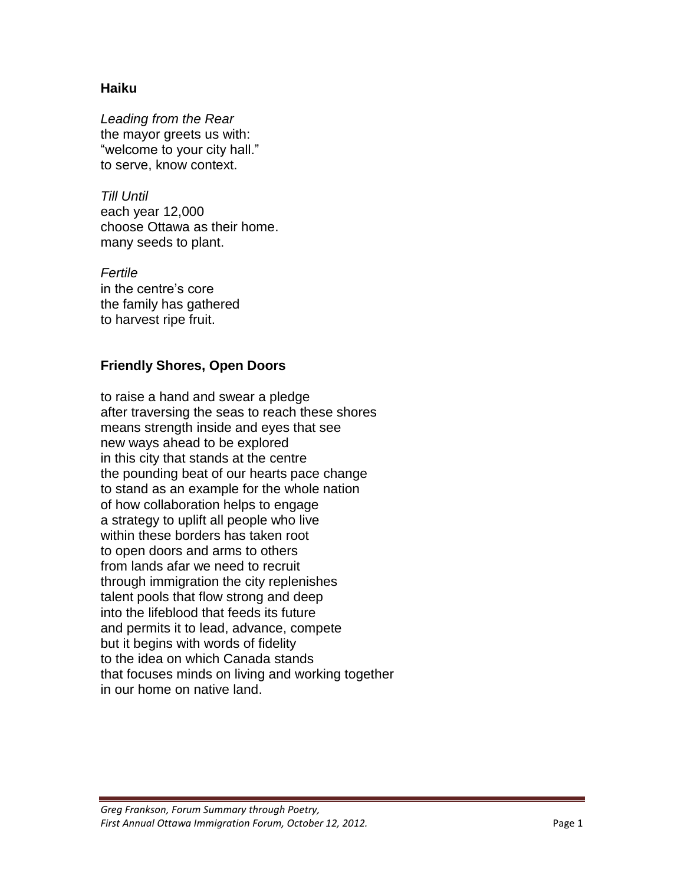## **Haiku**

*Leading from the Rear* the mayor greets us with: "welcome to your city hall." to serve, know context.

*Till Until* each year 12,000 choose Ottawa as their home. many seeds to plant.

*Fertile* in the centre's core the family has gathered to harvest ripe fruit.

#### **Friendly Shores, Open Doors**

to raise a hand and swear a pledge after traversing the seas to reach these shores means strength inside and eyes that see new ways ahead to be explored in this city that stands at the centre the pounding beat of our hearts pace change to stand as an example for the whole nation of how collaboration helps to engage a strategy to uplift all people who live within these borders has taken root to open doors and arms to others from lands afar we need to recruit through immigration the city replenishes talent pools that flow strong and deep into the lifeblood that feeds its future and permits it to lead, advance, compete but it begins with words of fidelity to the idea on which Canada stands that focuses minds on living and working together in our home on native land.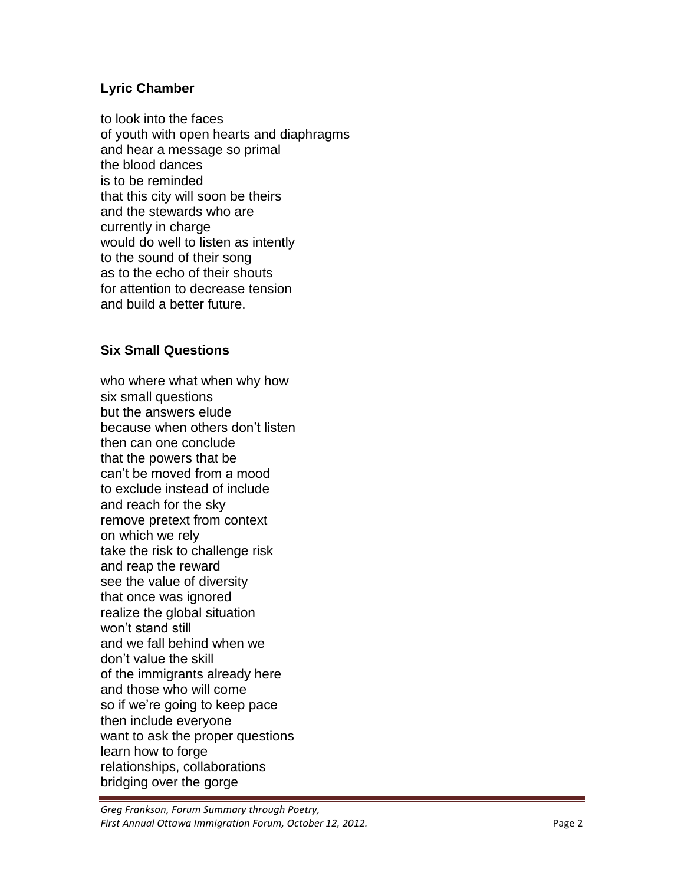# **Lyric Chamber**

to look into the faces of youth with open hearts and diaphragms and hear a message so primal the blood dances is to be reminded that this city will soon be theirs and the stewards who are currently in charge would do well to listen as intently to the sound of their song as to the echo of their shouts for attention to decrease tension and build a better future.

# **Six Small Questions**

who where what when why how six small questions but the answers elude because when others don't listen then can one conclude that the powers that be can't be moved from a mood to exclude instead of include and reach for the sky remove pretext from context on which we rely take the risk to challenge risk and reap the reward see the value of diversity that once was ignored realize the global situation won't stand still and we fall behind when we don't value the skill of the immigrants already here and those who will come so if we're going to keep pace then include everyone want to ask the proper questions learn how to forge relationships, collaborations bridging over the gorge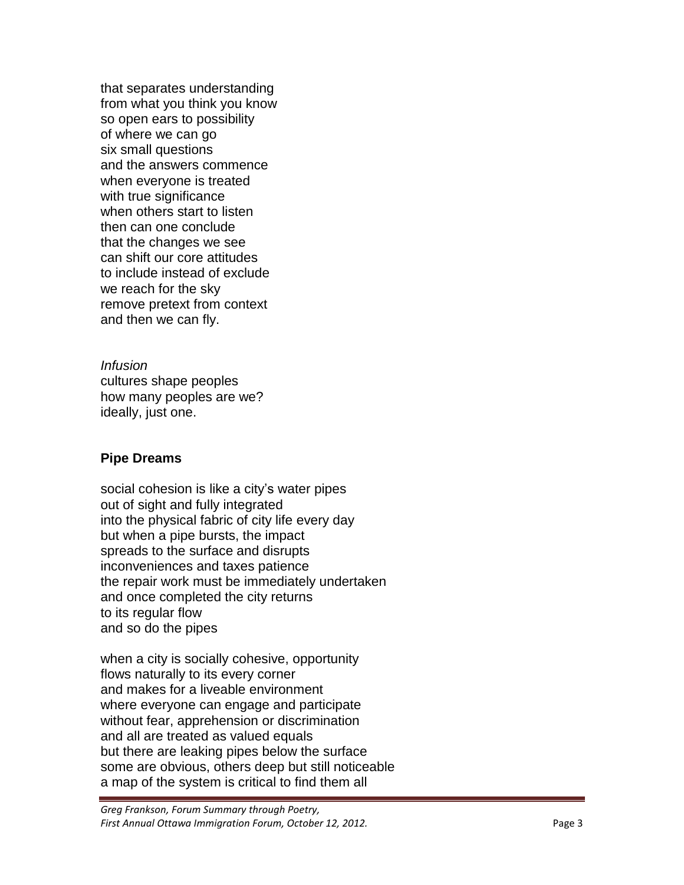that separates understanding from what you think you know so open ears to possibility of where we can go six small questions and the answers commence when everyone is treated with true significance when others start to listen then can one conclude that the changes we see can shift our core attitudes to include instead of exclude we reach for the sky remove pretext from context and then we can fly.

*Infusion* cultures shape peoples how many peoples are we? ideally, just one.

### **Pipe Dreams**

social cohesion is like a city's water pipes out of sight and fully integrated into the physical fabric of city life every day but when a pipe bursts, the impact spreads to the surface and disrupts inconveniences and taxes patience the repair work must be immediately undertaken and once completed the city returns to its regular flow and so do the pipes

when a city is socially cohesive, opportunity flows naturally to its every corner and makes for a liveable environment where everyone can engage and participate without fear, apprehension or discrimination and all are treated as valued equals but there are leaking pipes below the surface some are obvious, others deep but still noticeable a map of the system is critical to find them all